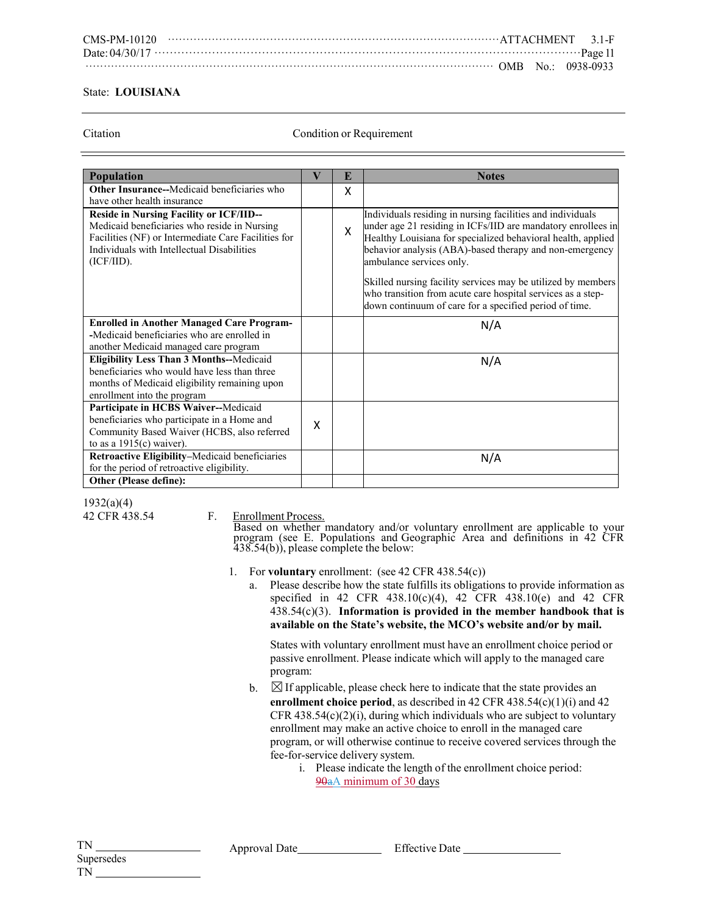## State: **LOUISIANA**

Citation Condition or Requirement

| <b>Population</b>                                                                                                                                                                                                 | V | E | <b>Notes</b>                                                                                                                                                                                                                                                                      |
|-------------------------------------------------------------------------------------------------------------------------------------------------------------------------------------------------------------------|---|---|-----------------------------------------------------------------------------------------------------------------------------------------------------------------------------------------------------------------------------------------------------------------------------------|
| Other Insurance--Medicaid beneficiaries who                                                                                                                                                                       |   | X |                                                                                                                                                                                                                                                                                   |
| have other health insurance                                                                                                                                                                                       |   |   |                                                                                                                                                                                                                                                                                   |
| <b>Reside in Nursing Facility or ICF/IID--</b><br>Medicaid beneficiaries who reside in Nursing<br>Facilities (NF) or Intermediate Care Facilities for<br>Individuals with Intellectual Disabilities<br>(ICF/IID). |   | X | Individuals residing in nursing facilities and individuals<br>under age 21 residing in ICFs/IID are mandatory enrollees in<br>Healthy Louisiana for specialized behavioral health, applied<br>behavior analysis (ABA)-based therapy and non-emergency<br>ambulance services only. |
|                                                                                                                                                                                                                   |   |   | Skilled nursing facility services may be utilized by members<br>who transition from acute care hospital services as a step-<br>down continuum of care for a specified period of time.                                                                                             |
| <b>Enrolled in Another Managed Care Program-</b>                                                                                                                                                                  |   |   | N/A                                                                                                                                                                                                                                                                               |
| -Medicaid beneficiaries who are enrolled in                                                                                                                                                                       |   |   |                                                                                                                                                                                                                                                                                   |
| another Medicaid managed care program                                                                                                                                                                             |   |   |                                                                                                                                                                                                                                                                                   |
| Eligibility Less Than 3 Months--Medicaid<br>beneficiaries who would have less than three<br>months of Medicaid eligibility remaining upon<br>enrollment into the program                                          |   |   | N/A                                                                                                                                                                                                                                                                               |
| Participate in HCBS Waiver--Medicaid                                                                                                                                                                              |   |   |                                                                                                                                                                                                                                                                                   |
| beneficiaries who participate in a Home and<br>Community Based Waiver (HCBS, also referred<br>to as a $1915(c)$ waiver).                                                                                          | X |   |                                                                                                                                                                                                                                                                                   |
| Retroactive Eligibility-Medicaid beneficiaries                                                                                                                                                                    |   |   | N/A                                                                                                                                                                                                                                                                               |
| for the period of retroactive eligibility.                                                                                                                                                                        |   |   |                                                                                                                                                                                                                                                                                   |
| Other (Please define):                                                                                                                                                                                            |   |   |                                                                                                                                                                                                                                                                                   |

1932(a)(4)

42 CFR 438.54 F. Enrollment Process.

Based on whether mandatory and/or voluntary enrollment are applicable to your program (see E. Populations and Geographic Area and definitions in 42 CFR 438.54(b)), please complete the below:

- 1. For **voluntary** enrollment: (see 42 CFR 438.54(c))
	- a. Please describe how the state fulfills its obligations to provide information as specified in 42 CFR 438.10(c)(4), 42 CFR 438.10(e) and 42 CFR 438.54(c)(3). **Information is provided in the member handbook that is available on the State's website, the MCO's website and/or by mail.**

States with voluntary enrollment must have an enrollment choice period or passive enrollment. Please indicate which will apply to the managed care program:

- b.  $\boxtimes$  If applicable, please check here to indicate that the state provides an **enrollment choice period**, as described in 42 CFR  $438.54(c)(1)(i)$  and  $42$ CFR  $438.54(c)(2)(i)$ , during which individuals who are subject to voluntary enrollment may make an active choice to enroll in the managed care program, or will otherwise continue to receive covered services through the fee-for-service delivery system.
	- i. Please indicate the length of the enrollment choice period: 90aA minimum of 30 days